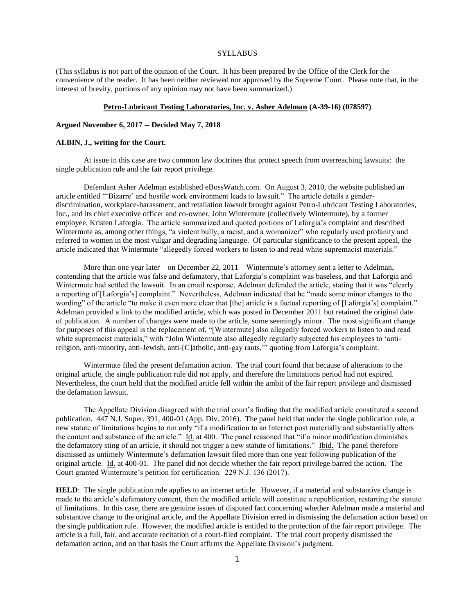#### **SYLLABUS**

(This syllabus is not part of the opinion of the Court. It has been prepared by the Office of the Clerk for the convenience of the reader. It has been neither reviewed nor approved by the Supreme Court. Please note that, in the interest of brevity, portions of any opinion may not have been summarized.)

### **Petro-Lubricant Testing Laboratories, Inc. v. Asher Adelman (A-39-16) (078597)**

#### **Argued November 6, 2017 -- Decided May 7, 2018**

#### **ALBIN, J., writing for the Court.**

At issue in this case are two common law doctrines that protect speech from overreaching lawsuits: the single publication rule and the fair report privilege.

Defendant Asher Adelman established eBossWatch.com. On August 3, 2010, the website published an article entitled "'Bizarre' and hostile work environment leads to lawsuit." The article details a genderdiscrimination, workplace-harassment, and retaliation lawsuit brought against Petro-Lubricant Testing Laboratories, Inc., and its chief executive officer and co-owner, John Wintermute (collectively Wintermute), by a former employee, Kristen Laforgia. The article summarized and quoted portions of Laforgia's complaint and described Wintermute as, among other things, "a violent bully, a racist, and a womanizer" who regularly used profanity and referred to women in the most vulgar and degrading language. Of particular significance to the present appeal, the article indicated that Wintermute "allegedly forced workers to listen to and read white supremacist materials."

More than one year later—on December 22, 2011—Wintermute's attorney sent a letter to Adelman, contending that the article was false and defamatory, that Laforgia's complaint was baseless, and that Laforgia and Wintermute had settled the lawsuit. In an email response, Adelman defended the article, stating that it was "clearly a reporting of [Laforgia's] complaint." Nevertheless, Adelman indicated that he "made some minor changes to the wording" of the article "to make it even more clear that [the] article is a factual reporting of [Laforgia's] complaint." Adelman provided a link to the modified article, which was posted in December 2011 but retained the original date of publication. A number of changes were made to the article, some seemingly minor. The most significant change for purposes of this appeal is the replacement of, "[Wintermute] also allegedly forced workers to listen to and read white supremacist materials," with "John Wintermute also allegedly regularly subjected his employees to 'antireligion, anti-minority, anti-Jewish, anti-[C]atholic, anti-gay rants,'" quoting from Laforgia's complaint.

Wintermute filed the present defamation action. The trial court found that because of alterations to the original article, the single publication rule did not apply, and therefore the limitations period had not expired. Nevertheless, the court held that the modified article fell within the ambit of the fair report privilege and dismissed the defamation lawsuit.

The Appellate Division disagreed with the trial court's finding that the modified article constituted a second publication. 447 N.J. Super. 391, 400-01 (App. Div. 2016). The panel held that under the single publication rule, a new statute of limitations begins to run only "if a modification to an Internet post materially and substantially alters the content and substance of the article." Id. at 400. The panel reasoned that "if a minor modification diminishes the defamatory sting of an article, it should not trigger a new statute of limitations." Ibid. The panel therefore dismissed as untimely Wintermute's defamation lawsuit filed more than one year following publication of the original article. Id. at 400-01. The panel did not decide whether the fair report privilege barred the action. The Court granted Wintermute's petition for certification. 229 N.J. 136 (2017).

**HELD**: The single publication rule applies to an internet article. However, if a material and substantive change is made to the article's defamatory content, then the modified article will constitute a republication, restarting the statute of limitations. In this case, there are genuine issues of disputed fact concerning whether Adelman made a material and substantive change to the original article, and the Appellate Division erred in dismissing the defamation action based on the single publication rule. However, the modified article is entitled to the protection of the fair report privilege. The article is a full, fair, and accurate recitation of a court-filed complaint. The trial court properly dismissed the defamation action, and on that basis the Court affirms the Appellate Division's judgment.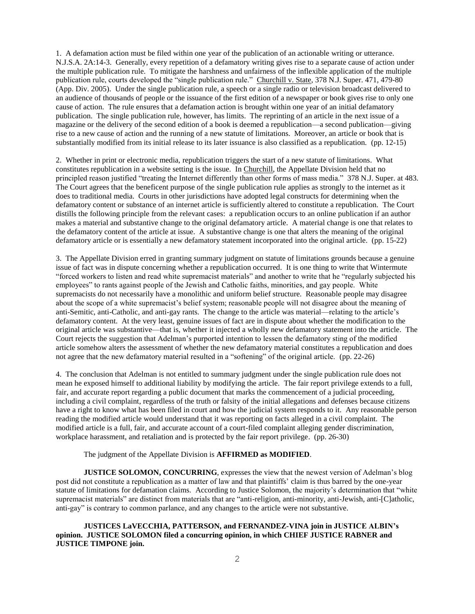1. A defamation action must be filed within one year of the publication of an actionable writing or utterance. N.J.S.A. 2A:14-3. Generally, every repetition of a defamatory writing gives rise to a separate cause of action under the multiple publication rule. To mitigate the harshness and unfairness of the inflexible application of the multiple publication rule, courts developed the "single publication rule." Churchill v. State, 378 N.J. Super. 471, 479-80 (App. Div. 2005). Under the single publication rule, a speech or a single radio or television broadcast delivered to an audience of thousands of people or the issuance of the first edition of a newspaper or book gives rise to only one cause of action. The rule ensures that a defamation action is brought within one year of an initial defamatory publication. The single publication rule, however, has limits. The reprinting of an article in the next issue of a magazine or the delivery of the second edition of a book is deemed a republication—a second publication—giving rise to a new cause of action and the running of a new statute of limitations. Moreover, an article or book that is substantially modified from its initial release to its later issuance is also classified as a republication. (pp. 12-15)

2. Whether in print or electronic media, republication triggers the start of a new statute of limitations. What constitutes republication in a website setting is the issue. In Churchill, the Appellate Division held that no principled reason justified "treating the Internet differently than other forms of mass media." 378 N.J. Super. at 483. The Court agrees that the beneficent purpose of the single publication rule applies as strongly to the internet as it does to traditional media. Courts in other jurisdictions have adopted legal constructs for determining when the defamatory content or substance of an internet article is sufficiently altered to constitute a republication. The Court distills the following principle from the relevant cases: a republication occurs to an online publication if an author makes a material and substantive change to the original defamatory article. A material change is one that relates to the defamatory content of the article at issue. A substantive change is one that alters the meaning of the original defamatory article or is essentially a new defamatory statement incorporated into the original article. (pp. 15-22)

3. The Appellate Division erred in granting summary judgment on statute of limitations grounds because a genuine issue of fact was in dispute concerning whether a republication occurred. It is one thing to write that Wintermute "forced workers to listen and read white supremacist materials" and another to write that he "regularly subjected his employees" to rants against people of the Jewish and Catholic faiths, minorities, and gay people. White supremacists do not necessarily have a monolithic and uniform belief structure. Reasonable people may disagree about the scope of a white supremacist's belief system; reasonable people will not disagree about the meaning of anti-Semitic, anti-Catholic, and anti-gay rants. The change to the article was material—relating to the article's defamatory content. At the very least, genuine issues of fact are in dispute about whether the modification to the original article was substantive—that is, whether it injected a wholly new defamatory statement into the article. The Court rejects the suggestion that Adelman's purported intention to lessen the defamatory sting of the modified article somehow alters the assessment of whether the new defamatory material constitutes a republication and does not agree that the new defamatory material resulted in a "softening" of the original article. (pp. 22-26)

4. The conclusion that Adelman is not entitled to summary judgment under the single publication rule does not mean he exposed himself to additional liability by modifying the article. The fair report privilege extends to a full, fair, and accurate report regarding a public document that marks the commencement of a judicial proceeding, including a civil complaint, regardless of the truth or falsity of the initial allegations and defenses because citizens have a right to know what has been filed in court and how the judicial system responds to it. Any reasonable person reading the modified article would understand that it was reporting on facts alleged in a civil complaint. The modified article is a full, fair, and accurate account of a court-filed complaint alleging gender discrimination, workplace harassment, and retaliation and is protected by the fair report privilege. (pp. 26-30)

The judgment of the Appellate Division is **AFFIRMED as MODIFIED**.

**JUSTICE SOLOMON, CONCURRING**, expresses the view that the newest version of Adelman's blog post did not constitute a republication as a matter of law and that plaintiffs' claim is thus barred by the one-year statute of limitations for defamation claims. According to Justice Solomon, the majority's determination that "white supremacist materials" are distinct from materials that are "anti-religion, anti-minority, anti-Jewish, anti-[C]atholic, anti-gay" is contrary to common parlance, and any changes to the article were not substantive.

**JUSTICES LaVECCHIA, PATTERSON, and FERNANDEZ-VINA join in JUSTICE ALBIN's opinion. JUSTICE SOLOMON filed a concurring opinion, in which CHIEF JUSTICE RABNER and JUSTICE TIMPONE join.**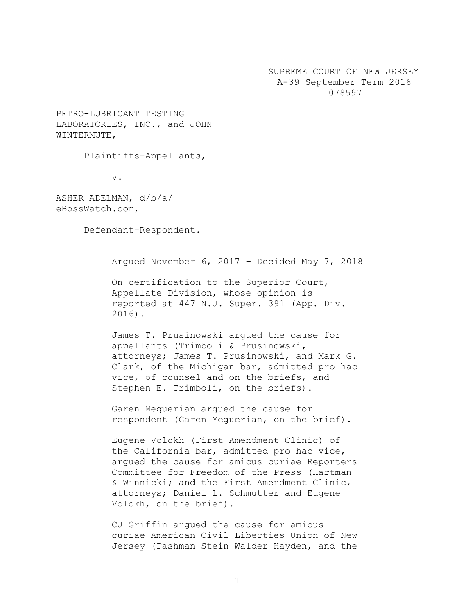SUPREME COURT OF NEW JERSEY A-39 September Term 2016 078597

PETRO-LUBRICANT TESTING LABORATORIES, INC., and JOHN WINTERMUTE,

Plaintiffs-Appellants,

v.

ASHER ADELMAN, d/b/a/ eBossWatch.com,

Defendant-Respondent.

Argued November 6, 2017 – Decided May 7, 2018

On certification to the Superior Court, Appellate Division, whose opinion is reported at 447 N.J. Super. 391 (App. Div. 2016).

James T. Prusinowski argued the cause for appellants (Trimboli & Prusinowski, attorneys; James T. Prusinowski, and Mark G. Clark, of the Michigan bar, admitted pro hac vice, of counsel and on the briefs, and Stephen E. Trimboli, on the briefs).

Garen Meguerian argued the cause for respondent (Garen Meguerian, on the brief).

Eugene Volokh (First Amendment Clinic) of the California bar, admitted pro hac vice, argued the cause for amicus curiae Reporters Committee for Freedom of the Press (Hartman & Winnicki; and the First Amendment Clinic, attorneys; Daniel L. Schmutter and Eugene Volokh, on the brief).

CJ Griffin argued the cause for amicus curiae American Civil Liberties Union of New Jersey (Pashman Stein Walder Hayden, and the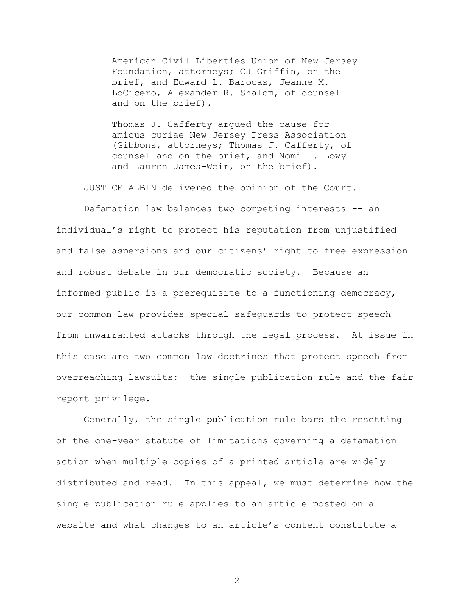American Civil Liberties Union of New Jersey Foundation, attorneys; CJ Griffin, on the brief, and Edward L. Barocas, Jeanne M. LoCicero, Alexander R. Shalom, of counsel and on the brief).

Thomas J. Cafferty argued the cause for amicus curiae New Jersey Press Association (Gibbons, attorneys; Thomas J. Cafferty, of counsel and on the brief, and Nomi I. Lowy and Lauren James-Weir, on the brief).

JUSTICE ALBIN delivered the opinion of the Court.

Defamation law balances two competing interests -- an individual's right to protect his reputation from unjustified and false aspersions and our citizens' right to free expression and robust debate in our democratic society. Because an informed public is a prerequisite to a functioning democracy, our common law provides special safeguards to protect speech from unwarranted attacks through the legal process. At issue in this case are two common law doctrines that protect speech from overreaching lawsuits: the single publication rule and the fair report privilege.

Generally, the single publication rule bars the resetting of the one-year statute of limitations governing a defamation action when multiple copies of a printed article are widely distributed and read. In this appeal, we must determine how the single publication rule applies to an article posted on a website and what changes to an article's content constitute a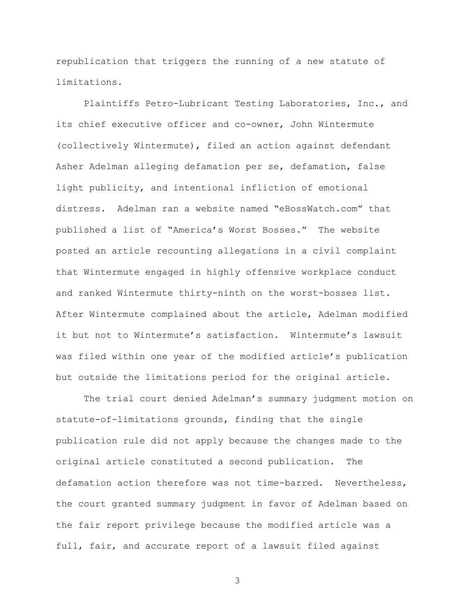republication that triggers the running of a new statute of limitations.

Plaintiffs Petro-Lubricant Testing Laboratories, Inc., and its chief executive officer and co-owner, John Wintermute (collectively Wintermute), filed an action against defendant Asher Adelman alleging defamation per se, defamation, false light publicity, and intentional infliction of emotional distress. Adelman ran a website named "eBossWatch.com" that published a list of "America's Worst Bosses." The website posted an article recounting allegations in a civil complaint that Wintermute engaged in highly offensive workplace conduct and ranked Wintermute thirty-ninth on the worst-bosses list. After Wintermute complained about the article, Adelman modified it but not to Wintermute's satisfaction. Wintermute's lawsuit was filed within one year of the modified article's publication but outside the limitations period for the original article.

The trial court denied Adelman's summary judgment motion on statute-of-limitations grounds, finding that the single publication rule did not apply because the changes made to the original article constituted a second publication. The defamation action therefore was not time-barred. Nevertheless, the court granted summary judgment in favor of Adelman based on the fair report privilege because the modified article was a full, fair, and accurate report of a lawsuit filed against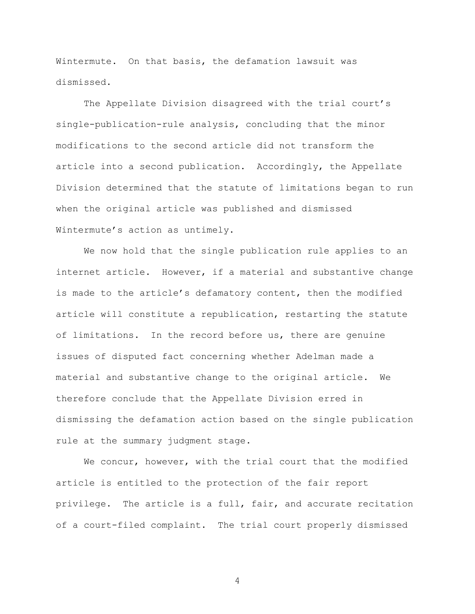Wintermute. On that basis, the defamation lawsuit was dismissed.

The Appellate Division disagreed with the trial court's single-publication-rule analysis, concluding that the minor modifications to the second article did not transform the article into a second publication. Accordingly, the Appellate Division determined that the statute of limitations began to run when the original article was published and dismissed Wintermute's action as untimely.

We now hold that the single publication rule applies to an internet article. However, if a material and substantive change is made to the article's defamatory content, then the modified article will constitute a republication, restarting the statute of limitations. In the record before us, there are genuine issues of disputed fact concerning whether Adelman made a material and substantive change to the original article. We therefore conclude that the Appellate Division erred in dismissing the defamation action based on the single publication rule at the summary judgment stage.

We concur, however, with the trial court that the modified article is entitled to the protection of the fair report privilege. The article is a full, fair, and accurate recitation of a court-filed complaint. The trial court properly dismissed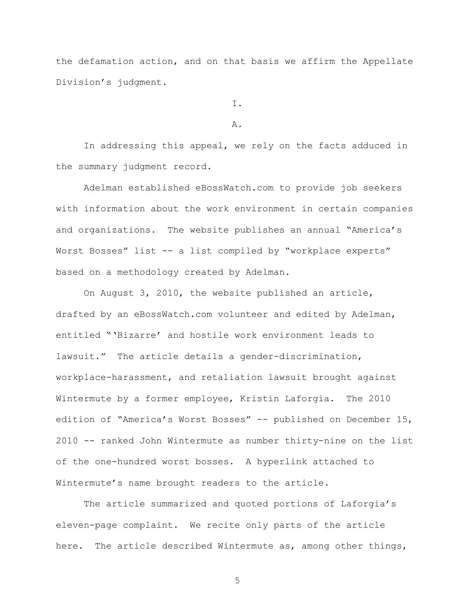the defamation action, and on that basis we affirm the Appellate Division's judgment.

I.

A.

In addressing this appeal, we rely on the facts adduced in the summary judgment record.

Adelman established eBossWatch.com to provide job seekers with information about the work environment in certain companies and organizations. The website publishes an annual "America's Worst Bosses" list -- a list compiled by "workplace experts" based on a methodology created by Adelman.

On August 3, 2010, the website published an article, drafted by an eBossWatch.com volunteer and edited by Adelman, entitled "'Bizarre' and hostile work environment leads to lawsuit." The article details a gender-discrimination, workplace-harassment, and retaliation lawsuit brought against Wintermute by a former employee, Kristin Laforgia. The 2010 edition of "America's Worst Bosses" -- published on December 15, 2010 -- ranked John Wintermute as number thirty-nine on the list of the one-hundred worst bosses. A hyperlink attached to Wintermute's name brought readers to the article.

The article summarized and quoted portions of Laforgia's eleven-page complaint. We recite only parts of the article here. The article described Wintermute as, among other things,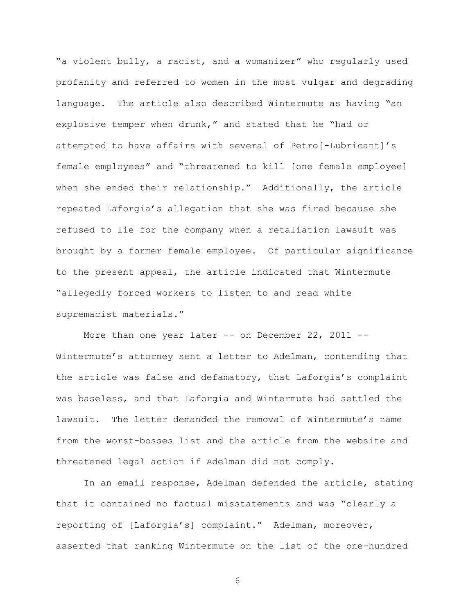"a violent bully, a racist, and a womanizer" who regularly used profanity and referred to women in the most vulgar and degrading language. The article also described Wintermute as having "an explosive temper when drunk," and stated that he "had or attempted to have affairs with several of Petro[-Lubricant]'s female employees" and "threatened to kill [one female employee] when she ended their relationship." Additionally, the article repeated Laforgia's allegation that she was fired because she refused to lie for the company when a retaliation lawsuit was brought by a former female employee. Of particular significance to the present appeal, the article indicated that Wintermute "allegedly forced workers to listen to and read white supremacist materials."

More than one year later  $--$  on December 22, 2011  $--$ Wintermute's attorney sent a letter to Adelman, contending that the article was false and defamatory, that Laforgia's complaint was baseless, and that Laforgia and Wintermute had settled the lawsuit. The letter demanded the removal of Wintermute's name from the worst-bosses list and the article from the website and threatened legal action if Adelman did not comply.

In an email response, Adelman defended the article, stating that it contained no factual misstatements and was "clearly a reporting of [Laforgia's] complaint." Adelman, moreover, asserted that ranking Wintermute on the list of the one-hundred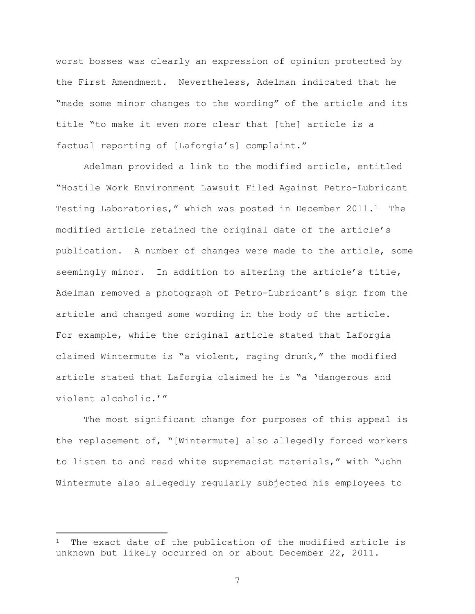worst bosses was clearly an expression of opinion protected by the First Amendment. Nevertheless, Adelman indicated that he "made some minor changes to the wording" of the article and its title "to make it even more clear that [the] article is a factual reporting of [Laforgia's] complaint."

Adelman provided a link to the modified article, entitled "Hostile Work Environment Lawsuit Filed Against Petro-Lubricant Testing Laboratories," which was posted in December 2011.1 The modified article retained the original date of the article's publication. A number of changes were made to the article, some seemingly minor. In addition to altering the article's title, Adelman removed a photograph of Petro-Lubricant's sign from the article and changed some wording in the body of the article. For example, while the original article stated that Laforgia claimed Wintermute is "a violent, raging drunk," the modified article stated that Laforgia claimed he is "a 'dangerous and violent alcoholic.'"

The most significant change for purposes of this appeal is the replacement of, "[Wintermute] also allegedly forced workers to listen to and read white supremacist materials," with "John Wintermute also allegedly regularly subjected his employees to

 $\overline{\phantom{a}}$ 

The exact date of the publication of the modified article is unknown but likely occurred on or about December 22, 2011.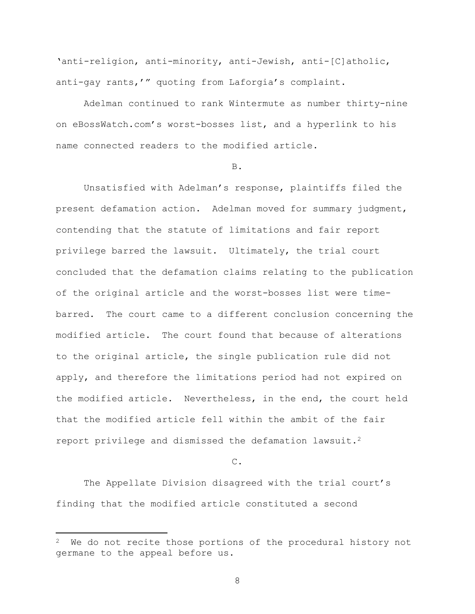'anti-religion, anti-minority, anti-Jewish, anti-[C]atholic, anti-gay rants,'" quoting from Laforgia's complaint.

Adelman continued to rank Wintermute as number thirty-nine on eBossWatch.com's worst-bosses list, and a hyperlink to his name connected readers to the modified article.

# B.

Unsatisfied with Adelman's response, plaintiffs filed the present defamation action. Adelman moved for summary judgment, contending that the statute of limitations and fair report privilege barred the lawsuit. Ultimately, the trial court concluded that the defamation claims relating to the publication of the original article and the worst-bosses list were timebarred. The court came to a different conclusion concerning the modified article. The court found that because of alterations to the original article, the single publication rule did not apply, and therefore the limitations period had not expired on the modified article. Nevertheless, in the end, the court held that the modified article fell within the ambit of the fair report privilege and dismissed the defamation lawsuit.<sup>2</sup>

## C.

The Appellate Division disagreed with the trial court's finding that the modified article constituted a second

 $\overline{\phantom{a}}$ 

 $2$  We do not recite those portions of the procedural history not germane to the appeal before us.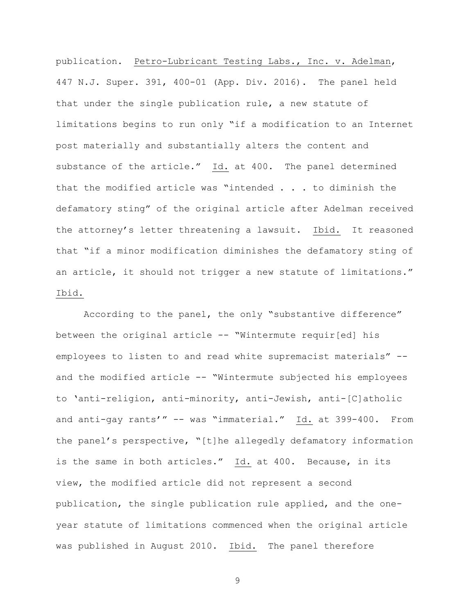publication. Petro-Lubricant Testing Labs., Inc. v. Adelman, 447 N.J. Super. 391, 400-01 (App. Div. 2016). The panel held that under the single publication rule, a new statute of limitations begins to run only "if a modification to an Internet post materially and substantially alters the content and substance of the article." Id. at 400. The panel determined that the modified article was "intended . . . to diminish the defamatory sting" of the original article after Adelman received the attorney's letter threatening a lawsuit. Ibid. It reasoned that "if a minor modification diminishes the defamatory sting of an article, it should not trigger a new statute of limitations." Ibid.

According to the panel, the only "substantive difference" between the original article -- "Wintermute requir[ed] his employees to listen to and read white supremacist materials" - and the modified article -- "Wintermute subjected his employees to 'anti-religion, anti-minority, anti-Jewish, anti-[C]atholic and anti-gay rants'" -- was "immaterial." Id. at 399-400. From the panel's perspective, "[t]he allegedly defamatory information is the same in both articles." Id. at 400. Because, in its view, the modified article did not represent a second publication, the single publication rule applied, and the oneyear statute of limitations commenced when the original article was published in August 2010. Ibid. The panel therefore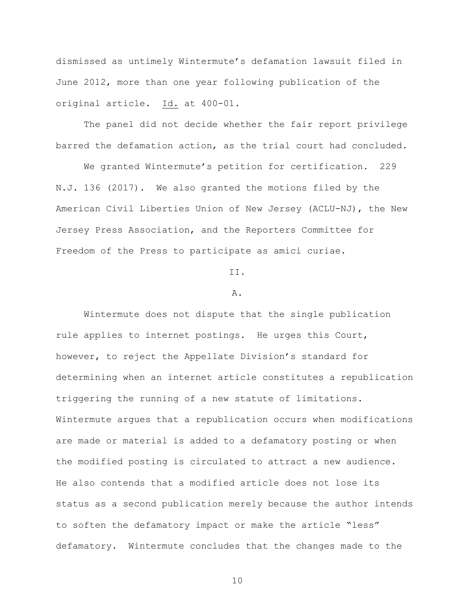dismissed as untimely Wintermute's defamation lawsuit filed in June 2012, more than one year following publication of the original article. Id. at 400-01.

The panel did not decide whether the fair report privilege barred the defamation action, as the trial court had concluded.

We granted Wintermute's petition for certification. 229 N.J. 136 (2017). We also granted the motions filed by the American Civil Liberties Union of New Jersey (ACLU-NJ), the New Jersey Press Association, and the Reporters Committee for Freedom of the Press to participate as amici curiae.

II.

## A.

Wintermute does not dispute that the single publication rule applies to internet postings. He urges this Court, however, to reject the Appellate Division's standard for determining when an internet article constitutes a republication triggering the running of a new statute of limitations. Wintermute argues that a republication occurs when modifications are made or material is added to a defamatory posting or when the modified posting is circulated to attract a new audience. He also contends that a modified article does not lose its status as a second publication merely because the author intends to soften the defamatory impact or make the article "less" defamatory. Wintermute concludes that the changes made to the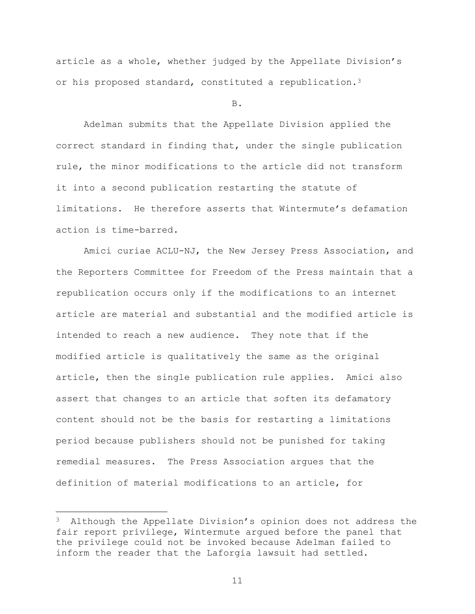article as a whole, whether judged by the Appellate Division's or his proposed standard, constituted a republication.<sup>3</sup>

B.

Adelman submits that the Appellate Division applied the correct standard in finding that, under the single publication rule, the minor modifications to the article did not transform it into a second publication restarting the statute of limitations. He therefore asserts that Wintermute's defamation action is time-barred.

Amici curiae ACLU-NJ, the New Jersey Press Association, and the Reporters Committee for Freedom of the Press maintain that a republication occurs only if the modifications to an internet article are material and substantial and the modified article is intended to reach a new audience. They note that if the modified article is qualitatively the same as the original article, then the single publication rule applies. Amici also assert that changes to an article that soften its defamatory content should not be the basis for restarting a limitations period because publishers should not be punished for taking remedial measures. The Press Association argues that the definition of material modifications to an article, for

 $\overline{\phantom{a}}$ 

 $3$  Although the Appellate Division's opinion does not address the fair report privilege, Wintermute argued before the panel that the privilege could not be invoked because Adelman failed to inform the reader that the Laforgia lawsuit had settled.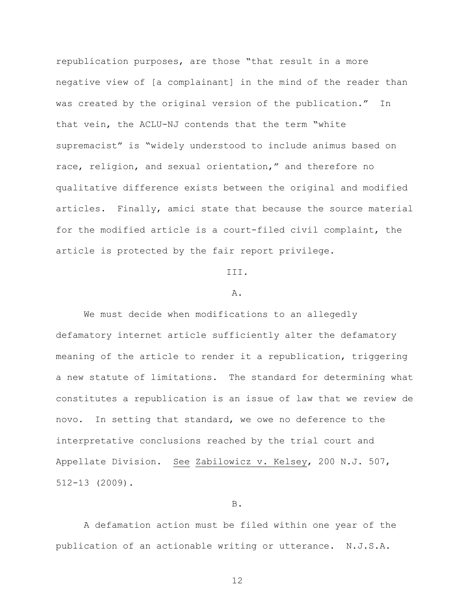republication purposes, are those "that result in a more negative view of [a complainant] in the mind of the reader than was created by the original version of the publication." In that vein, the ACLU-NJ contends that the term "white supremacist" is "widely understood to include animus based on race, religion, and sexual orientation," and therefore no qualitative difference exists between the original and modified articles. Finally, amici state that because the source material for the modified article is a court-filed civil complaint, the article is protected by the fair report privilege.

#### III.

## A.

We must decide when modifications to an allegedly defamatory internet article sufficiently alter the defamatory meaning of the article to render it a republication, triggering a new statute of limitations. The standard for determining what constitutes a republication is an issue of law that we review de novo. In setting that standard, we owe no deference to the interpretative conclusions reached by the trial court and Appellate Division. See Zabilowicz v. Kelsey, 200 N.J. 507, 512-13 (2009).

## B.

A defamation action must be filed within one year of the publication of an actionable writing or utterance. N.J.S.A.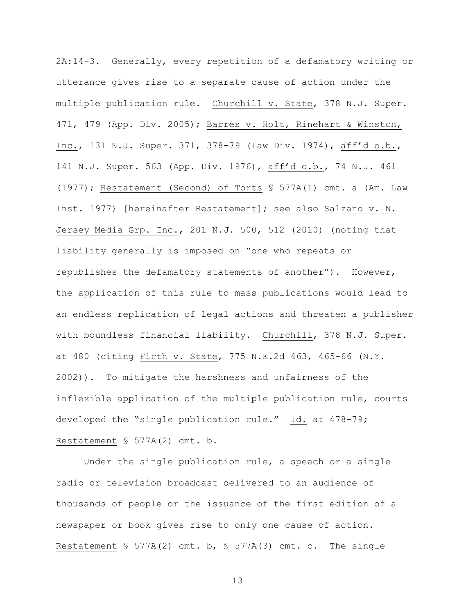2A:14-3. Generally, every repetition of a defamatory writing or utterance gives rise to a separate cause of action under the multiple publication rule. Churchill v. State, 378 N.J. Super. 471, 479 (App. Div. 2005); Barres v. Holt, Rinehart & Winston, Inc., 131 N.J. Super. 371, 378-79 (Law Div. 1974), aff'd o.b., 141 N.J. Super. 563 (App. Div. 1976), aff'd o.b., 74 N.J. 461 (1977); Restatement (Second) of Torts § 577A(1) cmt. a (Am. Law Inst. 1977) [hereinafter Restatement]; see also Salzano v. N. Jersey Media Grp. Inc., 201 N.J. 500, 512 (2010) (noting that liability generally is imposed on "one who repeats or republishes the defamatory statements of another"). However, the application of this rule to mass publications would lead to an endless replication of legal actions and threaten a publisher with boundless financial liability. Churchill, 378 N.J. Super. at 480 (citing Firth v. State, 775 N.E.2d 463, 465-66 (N.Y. 2002)). To mitigate the harshness and unfairness of the inflexible application of the multiple publication rule, courts developed the "single publication rule." Id. at 478-79; Restatement § 577A(2) cmt. b.

Under the single publication rule, a speech or a single radio or television broadcast delivered to an audience of thousands of people or the issuance of the first edition of a newspaper or book gives rise to only one cause of action. Restatement § 577A(2) cmt. b, § 577A(3) cmt. c. The single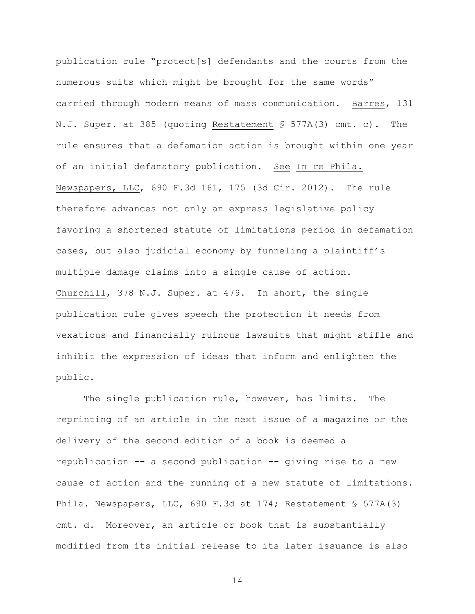publication rule "protect[s] defendants and the courts from the numerous suits which might be brought for the same words" carried through modern means of mass communication. Barres, 131 N.J. Super. at 385 (quoting Restatement § 577A(3) cmt. c). The rule ensures that a defamation action is brought within one year of an initial defamatory publication. See In re Phila. Newspapers, LLC, 690 F.3d 161, 175 (3d Cir. 2012). The rule therefore advances not only an express legislative policy favoring a shortened statute of limitations period in defamation cases, but also judicial economy by funneling a plaintiff's multiple damage claims into a single cause of action. Churchill, 378 N.J. Super. at 479. In short, the single publication rule gives speech the protection it needs from vexatious and financially ruinous lawsuits that might stifle and inhibit the expression of ideas that inform and enlighten the public.

The single publication rule, however, has limits. The reprinting of an article in the next issue of a magazine or the delivery of the second edition of a book is deemed a republication -- a second publication -- giving rise to a new cause of action and the running of a new statute of limitations. Phila. Newspapers, LLC, 690 F.3d at 174; Restatement § 577A(3) cmt. d. Moreover, an article or book that is substantially modified from its initial release to its later issuance is also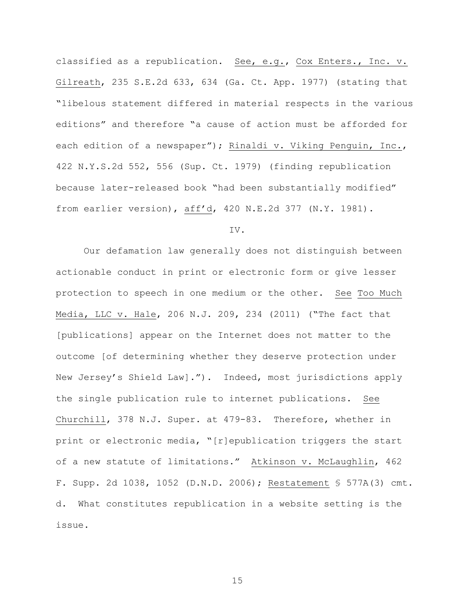classified as a republication. See, e.g., Cox Enters., Inc. v. Gilreath, 235 S.E.2d 633, 634 (Ga. Ct. App. 1977) (stating that "libelous statement differed in material respects in the various editions" and therefore "a cause of action must be afforded for each edition of a newspaper"); Rinaldi v. Viking Penguin, Inc., 422 N.Y.S.2d 552, 556 (Sup. Ct. 1979) (finding republication because later-released book "had been substantially modified" from earlier version), aff'd, 420 N.E.2d 377 (N.Y. 1981).

## IV.

Our defamation law generally does not distinguish between actionable conduct in print or electronic form or give lesser protection to speech in one medium or the other. See Too Much Media, LLC v. Hale, 206 N.J. 209, 234 (2011) ("The fact that [publications] appear on the Internet does not matter to the outcome [of determining whether they deserve protection under New Jersey's Shield Law]."). Indeed, most jurisdictions apply the single publication rule to internet publications. See Churchill, 378 N.J. Super. at 479-83. Therefore, whether in print or electronic media, "[r]epublication triggers the start of a new statute of limitations." Atkinson v. McLaughlin, 462 F. Supp. 2d 1038, 1052 (D.N.D. 2006); Restatement § 577A(3) cmt. d. What constitutes republication in a website setting is the issue.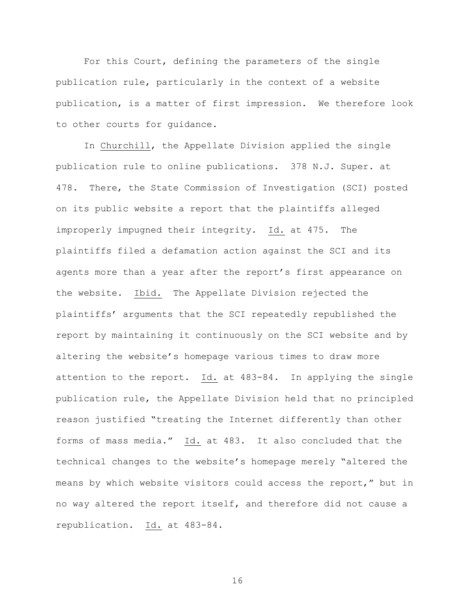For this Court, defining the parameters of the single publication rule, particularly in the context of a website publication, is a matter of first impression. We therefore look to other courts for guidance.

In Churchill, the Appellate Division applied the single publication rule to online publications. 378 N.J. Super. at 478. There, the State Commission of Investigation (SCI) posted on its public website a report that the plaintiffs alleged improperly impugned their integrity. Id. at 475. The plaintiffs filed a defamation action against the SCI and its agents more than a year after the report's first appearance on the website. Ibid. The Appellate Division rejected the plaintiffs' arguments that the SCI repeatedly republished the report by maintaining it continuously on the SCI website and by altering the website's homepage various times to draw more attention to the report. Id. at 483-84. In applying the single publication rule, the Appellate Division held that no principled reason justified "treating the Internet differently than other forms of mass media." Id. at 483. It also concluded that the technical changes to the website's homepage merely "altered the means by which website visitors could access the report," but in no way altered the report itself, and therefore did not cause a republication. Id. at 483-84.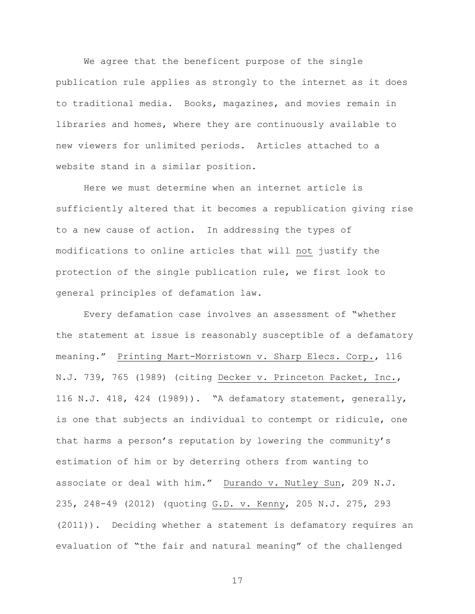We agree that the beneficent purpose of the single publication rule applies as strongly to the internet as it does to traditional media. Books, magazines, and movies remain in libraries and homes, where they are continuously available to new viewers for unlimited periods. Articles attached to a website stand in a similar position.

Here we must determine when an internet article is sufficiently altered that it becomes a republication giving rise to a new cause of action. In addressing the types of modifications to online articles that will not justify the protection of the single publication rule, we first look to general principles of defamation law.

Every defamation case involves an assessment of "whether the statement at issue is reasonably susceptible of a defamatory meaning." Printing Mart-Morristown v. Sharp Elecs. Corp., 116 N.J. 739, 765 (1989) (citing Decker v. Princeton Packet, Inc., 116 N.J. 418, 424 (1989)). "A defamatory statement, generally, is one that subjects an individual to contempt or ridicule, one that harms a person's reputation by lowering the community's estimation of him or by deterring others from wanting to associate or deal with him." Durando v. Nutley Sun, 209 N.J. 235, 248-49 (2012) (quoting G.D. v. Kenny, 205 N.J. 275, 293 (2011)). Deciding whether a statement is defamatory requires an evaluation of "the fair and natural meaning" of the challenged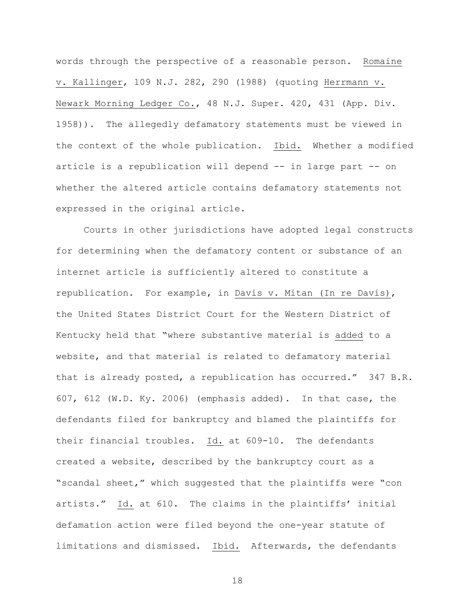words through the perspective of a reasonable person. Romaine v. Kallinger, 109 N.J. 282, 290 (1988) (quoting Herrmann v. Newark Morning Ledger Co., 48 N.J. Super. 420, 431 (App. Div. 1958)). The allegedly defamatory statements must be viewed in the context of the whole publication. Ibid. Whether a modified article is a republication will depend -- in large part -- on whether the altered article contains defamatory statements not expressed in the original article.

Courts in other jurisdictions have adopted legal constructs for determining when the defamatory content or substance of an internet article is sufficiently altered to constitute a republication. For example, in Davis v. Mitan (In re Davis), the United States District Court for the Western District of Kentucky held that "where substantive material is added to a website, and that material is related to defamatory material that is already posted, a republication has occurred." 347 B.R. 607, 612 (W.D. Ky. 2006) (emphasis added). In that case, the defendants filed for bankruptcy and blamed the plaintiffs for their financial troubles. Id. at 609-10. The defendants created a website, described by the bankruptcy court as a "scandal sheet," which suggested that the plaintiffs were "con artists." Id. at 610. The claims in the plaintiffs' initial defamation action were filed beyond the one-year statute of limitations and dismissed. Ibid. Afterwards, the defendants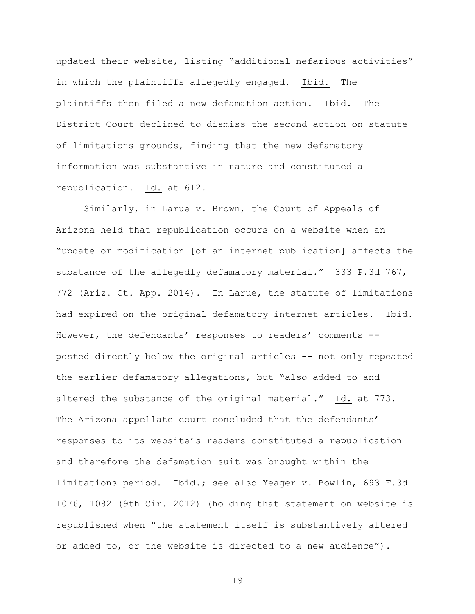updated their website, listing "additional nefarious activities" in which the plaintiffs allegedly engaged. Ibid. The plaintiffs then filed a new defamation action. Ibid. The District Court declined to dismiss the second action on statute of limitations grounds, finding that the new defamatory information was substantive in nature and constituted a republication. Id. at 612.

Similarly, in Larue v. Brown, the Court of Appeals of Arizona held that republication occurs on a website when an "update or modification [of an internet publication] affects the substance of the allegedly defamatory material." 333 P.3d 767, 772 (Ariz. Ct. App. 2014). In Larue, the statute of limitations had expired on the original defamatory internet articles. Ibid. However, the defendants' responses to readers' comments - posted directly below the original articles -- not only repeated the earlier defamatory allegations, but "also added to and altered the substance of the original material." Id. at 773. The Arizona appellate court concluded that the defendants' responses to its website's readers constituted a republication and therefore the defamation suit was brought within the limitations period. Ibid.; see also Yeager v. Bowlin, 693 F.3d 1076, 1082 (9th Cir. 2012) (holding that statement on website is republished when "the statement itself is substantively altered or added to, or the website is directed to a new audience").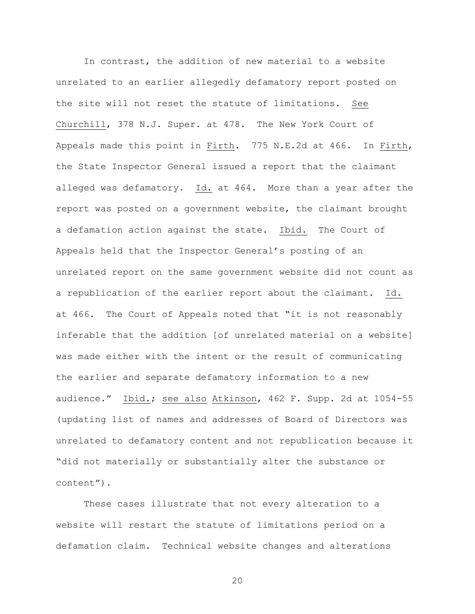In contrast, the addition of new material to a website unrelated to an earlier allegedly defamatory report posted on the site will not reset the statute of limitations. See Churchill, 378 N.J. Super. at 478. The New York Court of Appeals made this point in Firth. 775 N.E.2d at 466. In Firth, the State Inspector General issued a report that the claimant alleged was defamatory. Id. at 464. More than a year after the report was posted on a government website, the claimant brought a defamation action against the state. Ibid. The Court of Appeals held that the Inspector General's posting of an unrelated report on the same government website did not count as a republication of the earlier report about the claimant. Id. at 466. The Court of Appeals noted that "it is not reasonably inferable that the addition [of unrelated material on a website] was made either with the intent or the result of communicating the earlier and separate defamatory information to a new audience." Ibid.; see also Atkinson, 462 F. Supp. 2d at 1054-55 (updating list of names and addresses of Board of Directors was unrelated to defamatory content and not republication because it "did not materially or substantially alter the substance or content").

These cases illustrate that not every alteration to a website will restart the statute of limitations period on a defamation claim. Technical website changes and alterations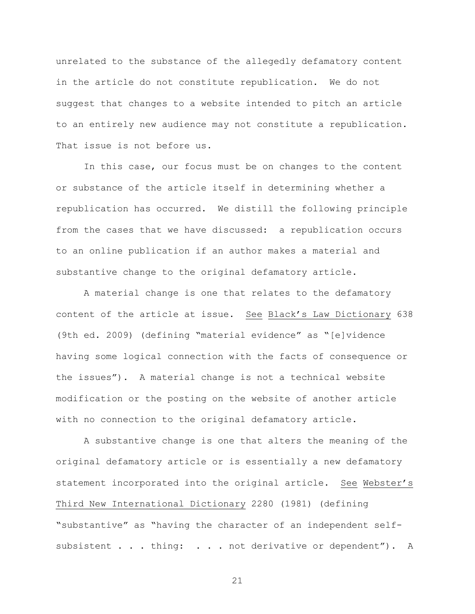unrelated to the substance of the allegedly defamatory content in the article do not constitute republication. We do not suggest that changes to a website intended to pitch an article to an entirely new audience may not constitute a republication. That issue is not before us.

In this case, our focus must be on changes to the content or substance of the article itself in determining whether a republication has occurred. We distill the following principle from the cases that we have discussed: a republication occurs to an online publication if an author makes a material and substantive change to the original defamatory article.

A material change is one that relates to the defamatory content of the article at issue. See Black's Law Dictionary 638 (9th ed. 2009) (defining "material evidence" as "[e]vidence having some logical connection with the facts of consequence or the issues"). A material change is not a technical website modification or the posting on the website of another article with no connection to the original defamatory article.

A substantive change is one that alters the meaning of the original defamatory article or is essentially a new defamatory statement incorporated into the original article. See Webster's Third New International Dictionary 2280 (1981) (defining "substantive" as "having the character of an independent selfsubsistent . . . thing: . . . not derivative or dependent"). A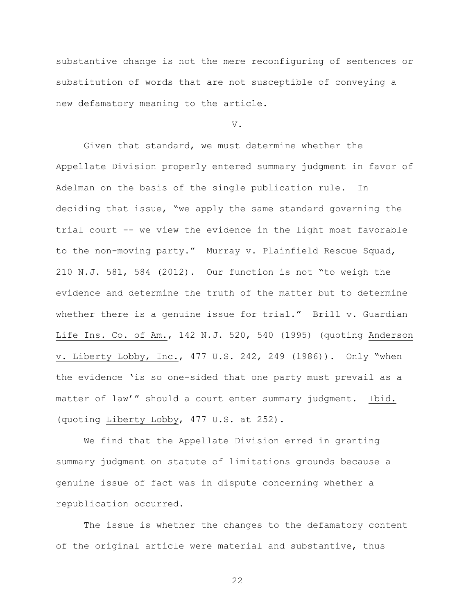substantive change is not the mere reconfiguring of sentences or substitution of words that are not susceptible of conveying a new defamatory meaning to the article.

V.

Given that standard, we must determine whether the Appellate Division properly entered summary judgment in favor of Adelman on the basis of the single publication rule. In deciding that issue, "we apply the same standard governing the trial court -- we view the evidence in the light most favorable to the non-moving party." Murray v. Plainfield Rescue Squad, 210 N.J. 581, 584 (2012). Our function is not "to weigh the evidence and determine the truth of the matter but to determine whether there is a genuine issue for trial." Brill v. Guardian Life Ins. Co. of Am., 142 N.J. 520, 540 (1995) (quoting Anderson v. Liberty Lobby, Inc., 477 U.S. 242, 249 (1986)). Only "when the evidence 'is so one-sided that one party must prevail as a matter of law'" should a court enter summary judgment. Ibid. (quoting Liberty Lobby, 477 U.S. at 252).

We find that the Appellate Division erred in granting summary judgment on statute of limitations grounds because a genuine issue of fact was in dispute concerning whether a republication occurred.

The issue is whether the changes to the defamatory content of the original article were material and substantive, thus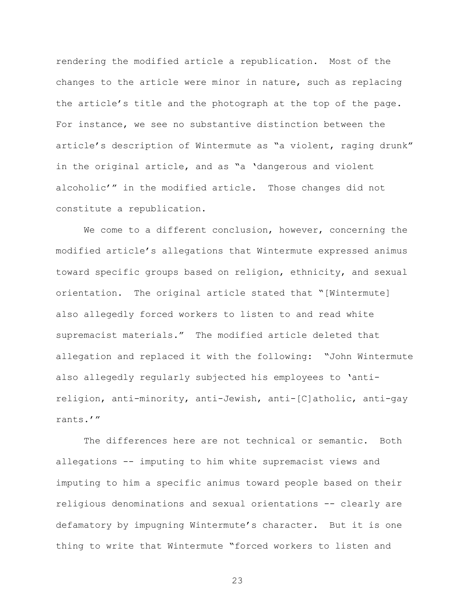rendering the modified article a republication. Most of the changes to the article were minor in nature, such as replacing the article's title and the photograph at the top of the page. For instance, we see no substantive distinction between the article's description of Wintermute as "a violent, raging drunk" in the original article, and as "a 'dangerous and violent alcoholic'" in the modified article. Those changes did not constitute a republication.

We come to a different conclusion, however, concerning the modified article's allegations that Wintermute expressed animus toward specific groups based on religion, ethnicity, and sexual orientation. The original article stated that "[Wintermute] also allegedly forced workers to listen to and read white supremacist materials." The modified article deleted that allegation and replaced it with the following: "John Wintermute also allegedly regularly subjected his employees to 'antireligion, anti-minority, anti-Jewish, anti-[C]atholic, anti-gay rants.'"

The differences here are not technical or semantic. Both allegations -- imputing to him white supremacist views and imputing to him a specific animus toward people based on their religious denominations and sexual orientations -- clearly are defamatory by impugning Wintermute's character. But it is one thing to write that Wintermute "forced workers to listen and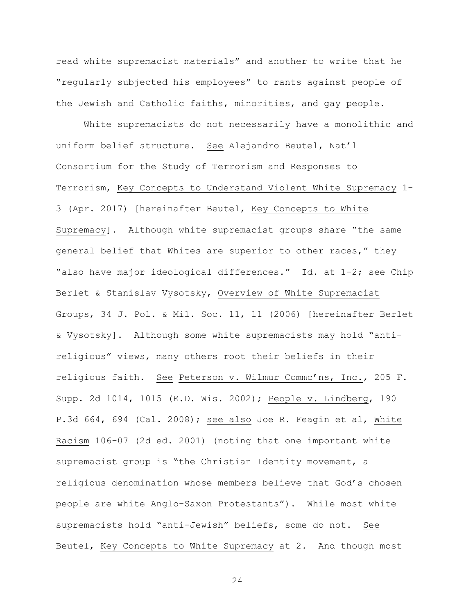read white supremacist materials" and another to write that he "regularly subjected his employees" to rants against people of the Jewish and Catholic faiths, minorities, and gay people.

White supremacists do not necessarily have a monolithic and uniform belief structure. See Alejandro Beutel, Nat'l Consortium for the Study of Terrorism and Responses to Terrorism, Key Concepts to Understand Violent White Supremacy 1- 3 (Apr. 2017) [hereinafter Beutel, Key Concepts to White Supremacy]. Although white supremacist groups share "the same general belief that Whites are superior to other races," they "also have major ideological differences." Id. at 1-2; see Chip Berlet & Stanislav Vysotsky, Overview of White Supremacist Groups, 34 J. Pol. & Mil. Soc. 11, 11 (2006) [hereinafter Berlet & Vysotsky]. Although some white supremacists may hold "antireligious" views, many others root their beliefs in their religious faith. See Peterson v. Wilmur Commc'ns, Inc., 205 F. Supp. 2d 1014, 1015 (E.D. Wis. 2002); People v. Lindberg, 190 P.3d 664, 694 (Cal. 2008); see also Joe R. Feagin et al, White Racism 106-07 (2d ed. 2001) (noting that one important white supremacist group is "the Christian Identity movement, a religious denomination whose members believe that God's chosen people are white Anglo-Saxon Protestants"). While most white supremacists hold "anti-Jewish" beliefs, some do not. See Beutel, Key Concepts to White Supremacy at 2. And though most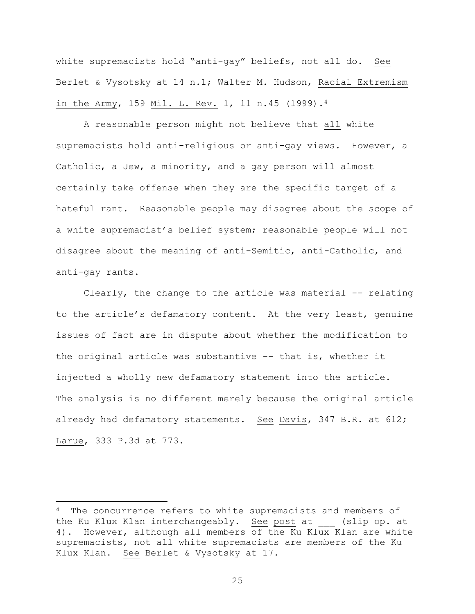white supremacists hold "anti-gay" beliefs, not all do. See Berlet & Vysotsky at 14 n.1; Walter M. Hudson, Racial Extremism in the Army, 159 Mil. L. Rev. 1, 11 n.45 (1999).<sup>4</sup>

A reasonable person might not believe that all white supremacists hold anti-religious or anti-gay views. However, a Catholic, a Jew, a minority, and a gay person will almost certainly take offense when they are the specific target of a hateful rant. Reasonable people may disagree about the scope of a white supremacist's belief system; reasonable people will not disagree about the meaning of anti-Semitic, anti-Catholic, and anti-gay rants.

Clearly, the change to the article was material -- relating to the article's defamatory content. At the very least, genuine issues of fact are in dispute about whether the modification to the original article was substantive -- that is, whether it injected a wholly new defamatory statement into the article. The analysis is no different merely because the original article already had defamatory statements. See Davis, 347 B.R. at 612; Larue, 333 P.3d at 773.

 $\overline{\phantom{a}}$ 

<sup>&</sup>lt;sup>4</sup> The concurrence refers to white supremacists and members of the Ku Klux Klan interchangeably. See post at (slip op. at 4). However, although all members of the Ku Klux Klan are white supremacists, not all white supremacists are members of the Ku Klux Klan. See Berlet & Vysotsky at 17.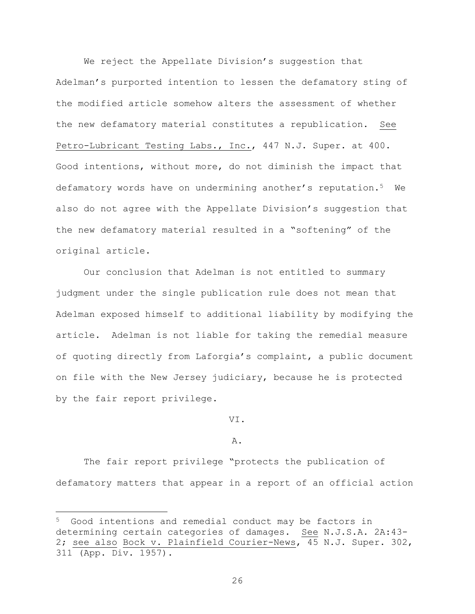We reject the Appellate Division's suggestion that Adelman's purported intention to lessen the defamatory sting of the modified article somehow alters the assessment of whether the new defamatory material constitutes a republication. See Petro-Lubricant Testing Labs., Inc., 447 N.J. Super. at 400. Good intentions, without more, do not diminish the impact that defamatory words have on undermining another's reputation.<sup>5</sup> We also do not agree with the Appellate Division's suggestion that the new defamatory material resulted in a "softening" of the original article.

Our conclusion that Adelman is not entitled to summary judgment under the single publication rule does not mean that Adelman exposed himself to additional liability by modifying the article. Adelman is not liable for taking the remedial measure of quoting directly from Laforgia's complaint, a public document on file with the New Jersey judiciary, because he is protected by the fair report privilege.

VI.

## A.

The fair report privilege "protects the publication of defamatory matters that appear in a report of an official action

 $\overline{\phantom{a}}$ 

<sup>5</sup> Good intentions and remedial conduct may be factors in determining certain categories of damages. See N.J.S.A. 2A:43- 2; see also Bock v. Plainfield Courier-News, 45 N.J. Super. 302, 311 (App. Div. 1957).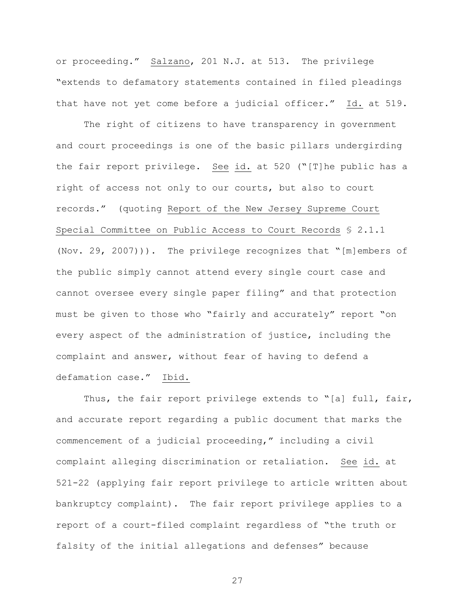or proceeding." Salzano, 201 N.J. at 513. The privilege "extends to defamatory statements contained in filed pleadings that have not yet come before a judicial officer." Id. at 519.

The right of citizens to have transparency in government and court proceedings is one of the basic pillars undergirding the fair report privilege. See id. at 520 ("[T]he public has a right of access not only to our courts, but also to court records." (quoting Report of the New Jersey Supreme Court Special Committee on Public Access to Court Records § 2.1.1 (Nov. 29, 2007))). The privilege recognizes that "[m]embers of the public simply cannot attend every single court case and cannot oversee every single paper filing" and that protection must be given to those who "fairly and accurately" report "on every aspect of the administration of justice, including the complaint and answer, without fear of having to defend a defamation case." Ibid.

Thus, the fair report privilege extends to "[a] full, fair, and accurate report regarding a public document that marks the commencement of a judicial proceeding," including a civil complaint alleging discrimination or retaliation. See id. at 521-22 (applying fair report privilege to article written about bankruptcy complaint). The fair report privilege applies to a report of a court-filed complaint regardless of "the truth or falsity of the initial allegations and defenses" because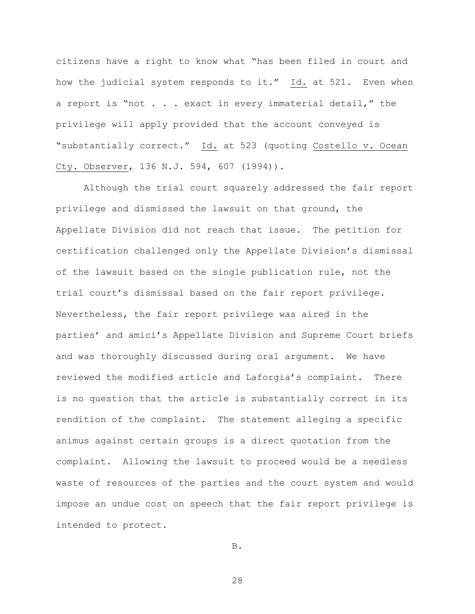citizens have a right to know what "has been filed in court and how the judicial system responds to it." Id. at 521. Even when a report is "not . . . exact in every immaterial detail," the privilege will apply provided that the account conveyed is "substantially correct." Id. at 523 (quoting Costello v. Ocean Cty. Observer, 136 N.J. 594, 607 (1994)).

Although the trial court squarely addressed the fair report privilege and dismissed the lawsuit on that ground, the Appellate Division did not reach that issue. The petition for certification challenged only the Appellate Division's dismissal of the lawsuit based on the single publication rule, not the trial court's dismissal based on the fair report privilege. Nevertheless, the fair report privilege was aired in the parties' and amici's Appellate Division and Supreme Court briefs and was thoroughly discussed during oral argument. We have reviewed the modified article and Laforgia's complaint. There is no question that the article is substantially correct in its rendition of the complaint. The statement alleging a specific animus against certain groups is a direct quotation from the complaint. Allowing the lawsuit to proceed would be a needless waste of resources of the parties and the court system and would impose an undue cost on speech that the fair report privilege is intended to protect.

B.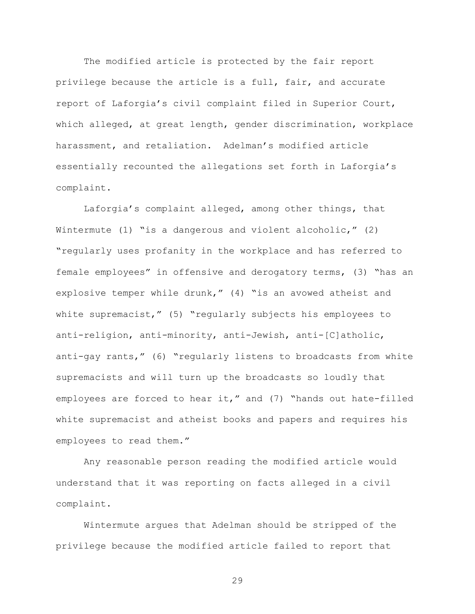The modified article is protected by the fair report privilege because the article is a full, fair, and accurate report of Laforgia's civil complaint filed in Superior Court, which alleged, at great length, gender discrimination, workplace harassment, and retaliation. Adelman's modified article essentially recounted the allegations set forth in Laforgia's complaint.

Laforgia's complaint alleged, among other things, that Wintermute  $(1)$  "is a dangerous and violent alcoholic,"  $(2)$ "regularly uses profanity in the workplace and has referred to female employees" in offensive and derogatory terms, (3) "has an explosive temper while drunk," (4) "is an avowed atheist and white supremacist," (5) "regularly subjects his employees to anti-religion, anti-minority, anti-Jewish, anti-[C]atholic, anti-gay rants," (6) "regularly listens to broadcasts from white supremacists and will turn up the broadcasts so loudly that employees are forced to hear it," and (7) "hands out hate-filled white supremacist and atheist books and papers and requires his employees to read them."

Any reasonable person reading the modified article would understand that it was reporting on facts alleged in a civil complaint.

Wintermute argues that Adelman should be stripped of the privilege because the modified article failed to report that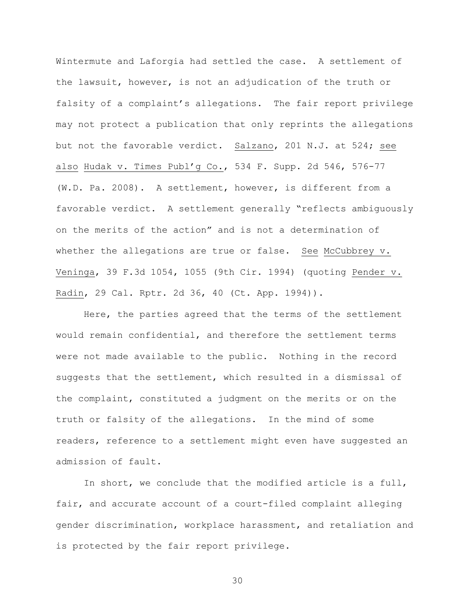Wintermute and Laforgia had settled the case. A settlement of the lawsuit, however, is not an adjudication of the truth or falsity of a complaint's allegations. The fair report privilege may not protect a publication that only reprints the allegations but not the favorable verdict. Salzano, 201 N.J. at 524; see also Hudak v. Times Publ'g Co., 534 F. Supp. 2d 546, 576-77 (W.D. Pa. 2008). A settlement, however, is different from a favorable verdict. A settlement generally "reflects ambiguously on the merits of the action" and is not a determination of whether the allegations are true or false. See McCubbrey v. Veninga, 39 F.3d 1054, 1055 (9th Cir. 1994) (quoting Pender v. Radin, 29 Cal. Rptr. 2d 36, 40 (Ct. App. 1994)).

Here, the parties agreed that the terms of the settlement would remain confidential, and therefore the settlement terms were not made available to the public. Nothing in the record suggests that the settlement, which resulted in a dismissal of the complaint, constituted a judgment on the merits or on the truth or falsity of the allegations. In the mind of some readers, reference to a settlement might even have suggested an admission of fault.

In short, we conclude that the modified article is a full, fair, and accurate account of a court-filed complaint alleging gender discrimination, workplace harassment, and retaliation and is protected by the fair report privilege.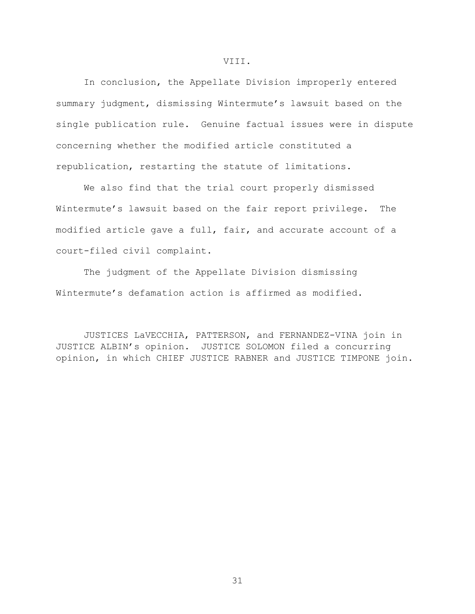In conclusion, the Appellate Division improperly entered summary judgment, dismissing Wintermute's lawsuit based on the single publication rule. Genuine factual issues were in dispute concerning whether the modified article constituted a republication, restarting the statute of limitations.

We also find that the trial court properly dismissed Wintermute's lawsuit based on the fair report privilege. The modified article gave a full, fair, and accurate account of a court-filed civil complaint.

The judgment of the Appellate Division dismissing Wintermute's defamation action is affirmed as modified.

JUSTICES LaVECCHIA, PATTERSON, and FERNANDEZ-VINA join in JUSTICE ALBIN's opinion. JUSTICE SOLOMON filed a concurring opinion, in which CHIEF JUSTICE RABNER and JUSTICE TIMPONE join.

VIII.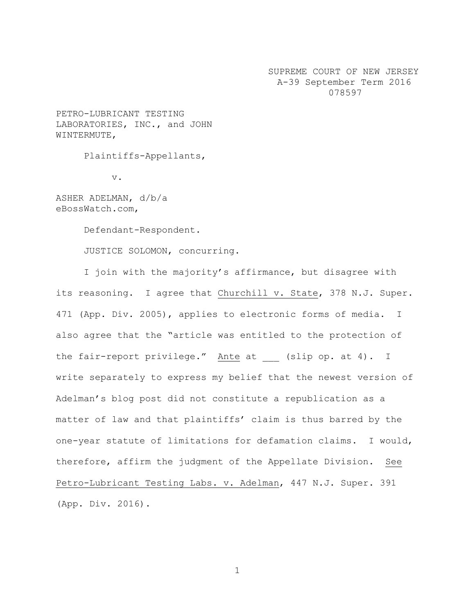SUPREME COURT OF NEW JERSEY A-39 September Term 2016 078597

PETRO-LUBRICANT TESTING LABORATORIES, INC., and JOHN WINTERMUTE,

Plaintiffs-Appellants,

v.

ASHER ADELMAN, d/b/a eBossWatch.com,

Defendant-Respondent.

JUSTICE SOLOMON, concurring.

I join with the majority's affirmance, but disagree with its reasoning. I agree that Churchill v. State, 378 N.J. Super. 471 (App. Div. 2005), applies to electronic forms of media. I also agree that the "article was entitled to the protection of the fair-report privilege." Ante at (slip op. at 4). I write separately to express my belief that the newest version of Adelman's blog post did not constitute a republication as a matter of law and that plaintiffs' claim is thus barred by the one-year statute of limitations for defamation claims. I would, therefore, affirm the judgment of the Appellate Division. See Petro-Lubricant Testing Labs. v. Adelman, 447 N.J. Super. 391 (App. Div. 2016).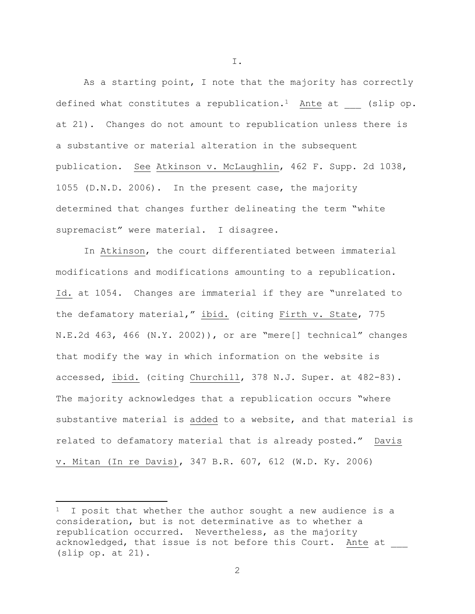As a starting point, I note that the majority has correctly defined what constitutes a republication.<sup>1</sup> Ante at  $\qquad$  (slip op. at 21). Changes do not amount to republication unless there is a substantive or material alteration in the subsequent publication. See Atkinson v. McLaughlin, 462 F. Supp. 2d 1038, 1055 (D.N.D. 2006). In the present case, the majority determined that changes further delineating the term "white supremacist" were material. I disagree.

In Atkinson, the court differentiated between immaterial modifications and modifications amounting to a republication. Id. at 1054. Changes are immaterial if they are "unrelated to the defamatory material," ibid. (citing Firth v. State, 775 N.E.2d 463, 466 (N.Y. 2002)), or are "mere[] technical" changes that modify the way in which information on the website is accessed, ibid. (citing Churchill, 378 N.J. Super. at 482-83). The majority acknowledges that a republication occurs "where substantive material is added to a website, and that material is related to defamatory material that is already posted." Davis v. Mitan (In re Davis), 347 B.R. 607, 612 (W.D. Ky. 2006)

 $\overline{\phantom{a}}$ 

I.

<sup>&</sup>lt;sup>1</sup> I posit that whether the author sought a new audience is a consideration, but is not determinative as to whether a republication occurred. Nevertheless, as the majority acknowledged, that issue is not before this Court. Ante at (slip op. at 21).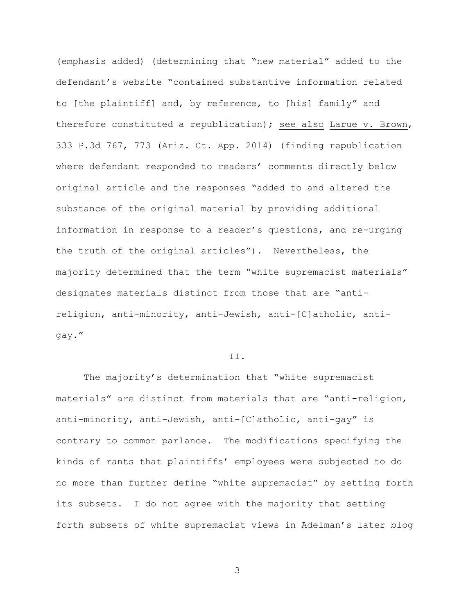(emphasis added) (determining that "new material" added to the defendant's website "contained substantive information related to [the plaintiff] and, by reference, to [his] family" and therefore constituted a republication); see also Larue v. Brown, 333 P.3d 767, 773 (Ariz. Ct. App. 2014) (finding republication where defendant responded to readers' comments directly below original article and the responses "added to and altered the substance of the original material by providing additional information in response to a reader's questions, and re-urging the truth of the original articles"). Nevertheless, the majority determined that the term "white supremacist materials" designates materials distinct from those that are "antireligion, anti-minority, anti-Jewish, anti-[C]atholic, antigay."

## II.

The majority's determination that "white supremacist materials" are distinct from materials that are "anti-religion, anti-minority, anti-Jewish, anti-[C]atholic, anti-gay" is contrary to common parlance. The modifications specifying the kinds of rants that plaintiffs' employees were subjected to do no more than further define "white supremacist" by setting forth its subsets. I do not agree with the majority that setting forth subsets of white supremacist views in Adelman's later blog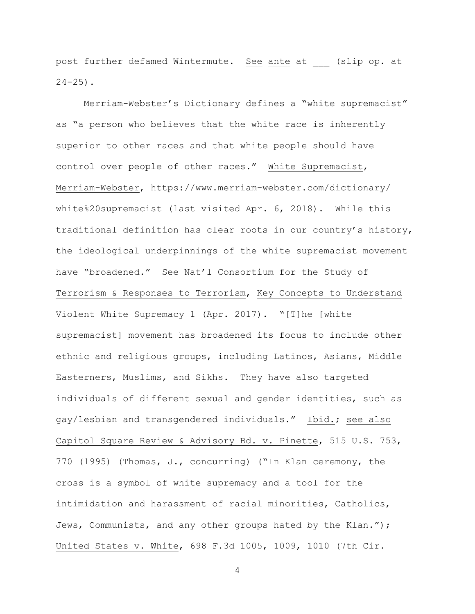post further defamed Wintermute. See ante at (slip op. at  $24 - 25$ ).

Merriam-Webster's Dictionary defines a "white supremacist" as "a person who believes that the white race is inherently superior to other races and that white people should have control over people of other races." White Supremacist, Merriam-Webster, https://www.merriam-webster.com/dictionary/ white%20supremacist (last visited Apr. 6, 2018). While this traditional definition has clear roots in our country's history, the ideological underpinnings of the white supremacist movement have "broadened." See Nat'l Consortium for the Study of Terrorism & Responses to Terrorism, Key Concepts to Understand Violent White Supremacy 1 (Apr. 2017). "[T]he [white supremacist] movement has broadened its focus to include other ethnic and religious groups, including Latinos, Asians, Middle Easterners, Muslims, and Sikhs. They have also targeted individuals of different sexual and gender identities, such as gay/lesbian and transgendered individuals." Ibid.; see also Capitol Square Review & Advisory Bd. v. Pinette, 515 U.S. 753, 770 (1995) (Thomas, J., concurring) ("In Klan ceremony, the cross is a symbol of white supremacy and a tool for the intimidation and harassment of racial minorities, Catholics, Jews, Communists, and any other groups hated by the Klan."); United States v. White, 698 F.3d 1005, 1009, 1010 (7th Cir.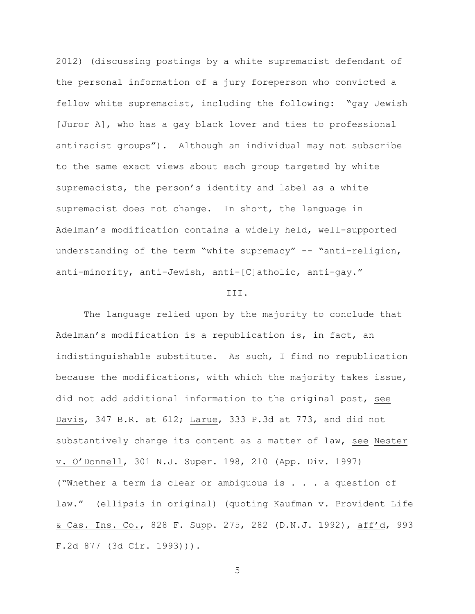2012) (discussing postings by a white supremacist defendant of the personal information of a jury foreperson who convicted a fellow white supremacist, including the following: "gay Jewish [Juror A], who has a gay black lover and ties to professional antiracist groups"). Although an individual may not subscribe to the same exact views about each group targeted by white supremacists, the person's identity and label as a white supremacist does not change. In short, the language in Adelman's modification contains a widely held, well-supported understanding of the term "white supremacy" -- "anti-religion, anti-minority, anti-Jewish, anti-[C]atholic, anti-gay."

## III.

The language relied upon by the majority to conclude that Adelman's modification is a republication is, in fact, an indistinguishable substitute. As such, I find no republication because the modifications, with which the majority takes issue, did not add additional information to the original post, see Davis, 347 B.R. at 612; Larue, 333 P.3d at 773, and did not substantively change its content as a matter of law, see Nester v. O'Donnell, 301 N.J. Super. 198, 210 (App. Div. 1997) ("Whether a term is clear or ambiguous is . . . a question of law." (ellipsis in original) (quoting Kaufman v. Provident Life & Cas. Ins. Co., 828 F. Supp. 275, 282 (D.N.J. 1992), aff'd, 993 F.2d 877 (3d Cir. 1993))).